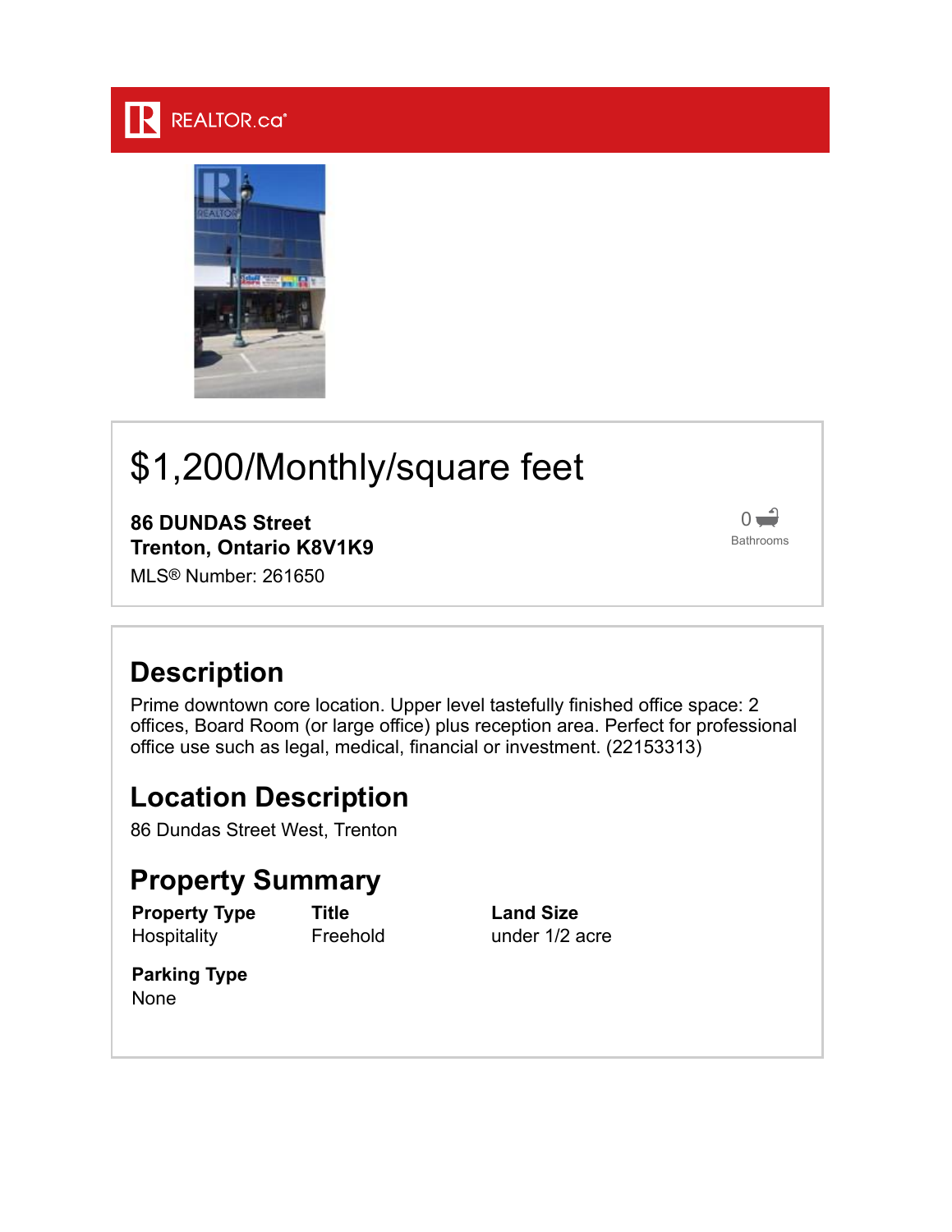#### **REALTOR.ca**



# \$1,200/Monthly/square feet

**86 DUNDAS Street Trenton, Ontario K8V1K9**

MLS® Number: 261650



## **Description**

Prime downtown core location. Upper level tastefully finished office space: 2 offices, Board Room (or large office) plus reception area. Perfect for professional office use such as legal, medical, financial or investment. (22153313)

#### **Location Description**

86 Dundas Street West, Trenton

### **Property Summary**

**Property Type Hospitality** 

**Title** Freehold **Land Size** under 1/2 acre

**Parking Type** None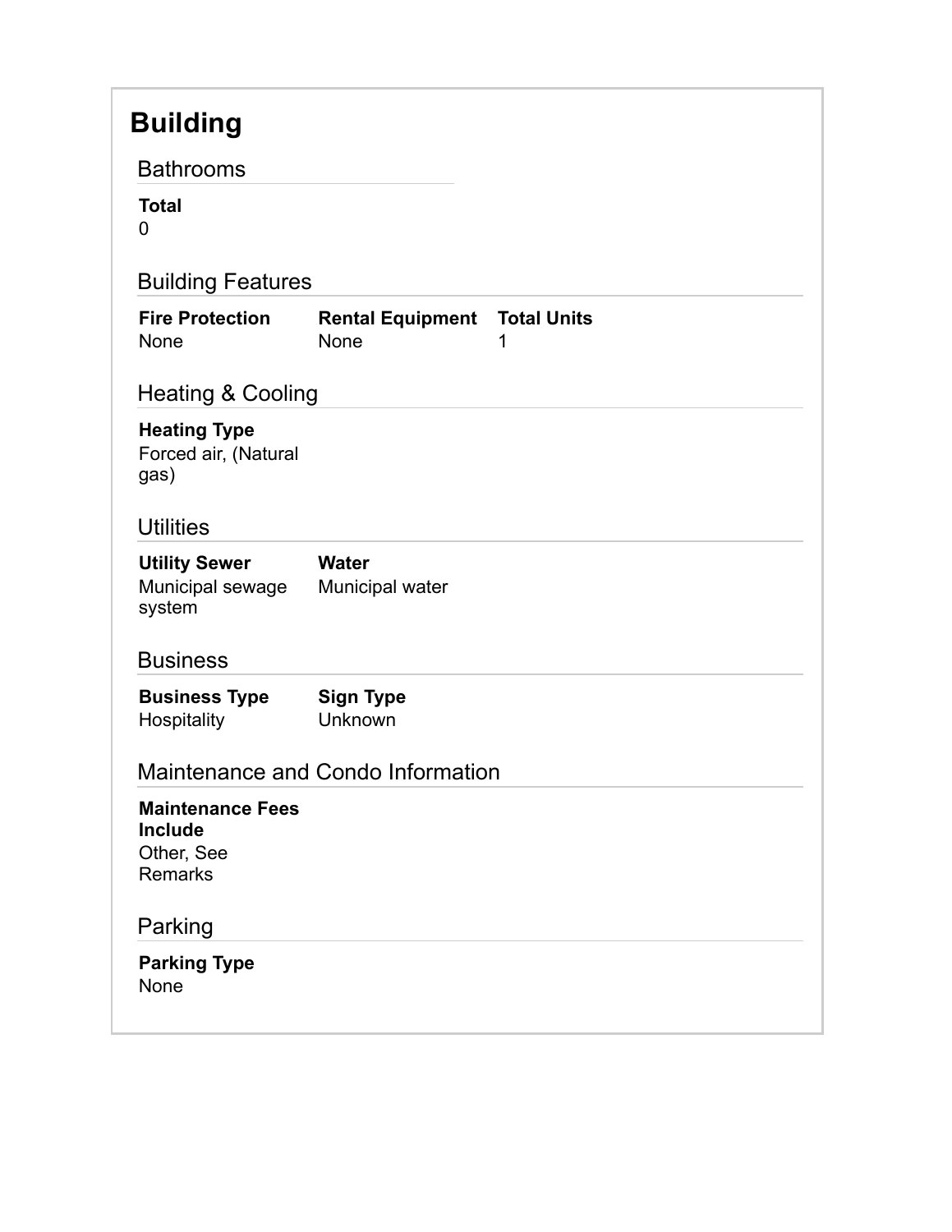#### **Building** Bathrooms **Total** 0 Building Features **Fire Protection** None **Rental Equipment Total Units** None 1 Heating & Cooling **Heating Type** Forced air, (Natural gas) **Utilities Utility Sewer** Municipal sewage system **Water** Municipal water **Business Business Type Hospitality Sign Type** Unknown Maintenance and Condo Information **Maintenance Fees Include** Other, See Remarks Parking **Parking Type** None